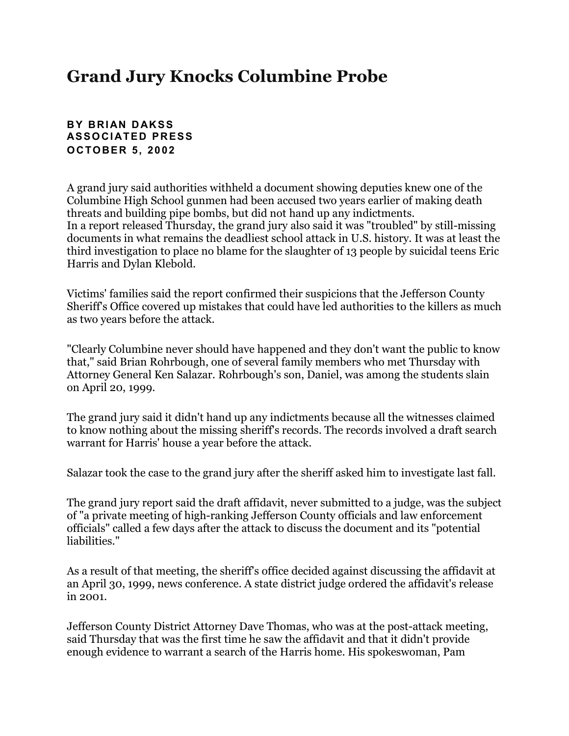## **Grand Jury Knocks Columbine Probe**

## **BY BRIAN DAKSS ASSOCIATED PRESS OCTOBER 5, 2002**

A grand jury said authorities withheld a document showing deputies knew one of the Columbine High School gunmen had been accused two years earlier of making death threats and building pipe bombs, but did not hand up any indictments. In a report released Thursday, the grand jury also said it was "troubled" by still-missing documents in what remains the deadliest school attack in U.S. history. It was at least the third investigation to place no blame for the slaughter of 13 people by suicidal teens Eric Harris and Dylan Klebold.

Victims' families said the report confirmed their suspicions that the Jefferson County Sheriff's Office covered up mistakes that could have led authorities to the killers as much as two years before the attack.

"Clearly Columbine never should have happened and they don't want the public to know that," said Brian Rohrbough, one of several family members who met Thursday with Attorney General Ken Salazar. Rohrbough's son, Daniel, was among the students slain on April 20, 1999.

The grand jury said it didn't hand up any indictments because all the witnesses claimed to know nothing about the missing sheriff's records. The records involved a draft search warrant for Harris' house a year before the attack.

Salazar took the case to the grand jury after the sheriff asked him to investigate last fall.

The grand jury report said the draft affidavit, never submitted to a judge, was the subject of "a private meeting of high-ranking Jefferson County officials and law enforcement officials" called a few days after the attack to discuss the document and its "potential liabilities."

As a result of that meeting, the sheriff's office decided against discussing the affidavit at an April 30, 1999, news conference. A state district judge ordered the affidavit's release in 2001.

Jefferson County District Attorney Dave Thomas, who was at the post-attack meeting, said Thursday that was the first time he saw the affidavit and that it didn't provide enough evidence to warrant a search of the Harris home. His spokeswoman, Pam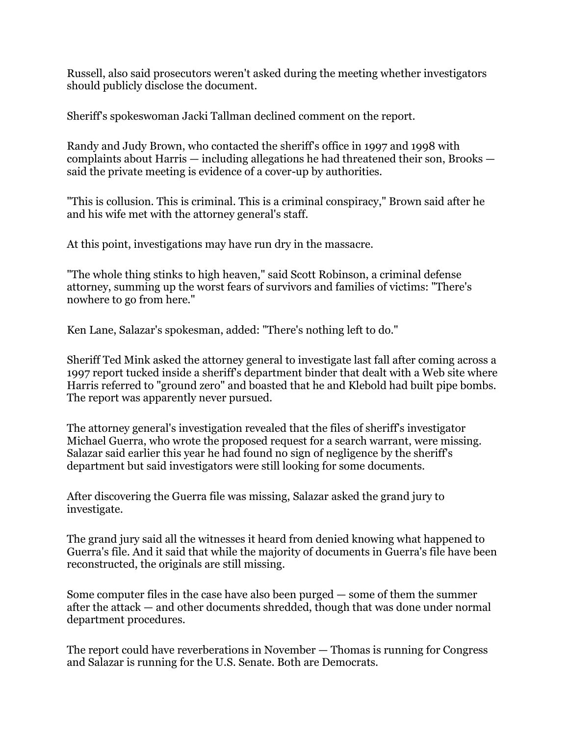Russell, also said prosecutors weren't asked during the meeting whether investigators should publicly disclose the document.

Sheriff's spokeswoman Jacki Tallman declined comment on the report.

Randy and Judy Brown, who contacted the sheriff's office in 1997 and 1998 with complaints about Harris — including allegations he had threatened their son, Brooks said the private meeting is evidence of a cover-up by authorities.

"This is collusion. This is criminal. This is a criminal conspiracy," Brown said after he and his wife met with the attorney general's staff.

At this point, investigations may have run dry in the massacre.

"The whole thing stinks to high heaven," said Scott Robinson, a criminal defense attorney, summing up the worst fears of survivors and families of victims: "There's nowhere to go from here."

Ken Lane, Salazar's spokesman, added: "There's nothing left to do."

Sheriff Ted Mink asked the attorney general to investigate last fall after coming across a 1997 report tucked inside a sheriff's department binder that dealt with a Web site where Harris referred to "ground zero" and boasted that he and Klebold had built pipe bombs. The report was apparently never pursued.

The attorney general's investigation revealed that the files of sheriff's investigator Michael Guerra, who wrote the proposed request for a search warrant, were missing. Salazar said earlier this year he had found no sign of negligence by the sheriff's department but said investigators were still looking for some documents.

After discovering the Guerra file was missing, Salazar asked the grand jury to investigate.

The grand jury said all the witnesses it heard from denied knowing what happened to Guerra's file. And it said that while the majority of documents in Guerra's file have been reconstructed, the originals are still missing.

Some computer files in the case have also been purged — some of them the summer after the attack — and other documents shredded, though that was done under normal department procedures.

The report could have reverberations in November — Thomas is running for Congress and Salazar is running for the U.S. Senate. Both are Democrats.